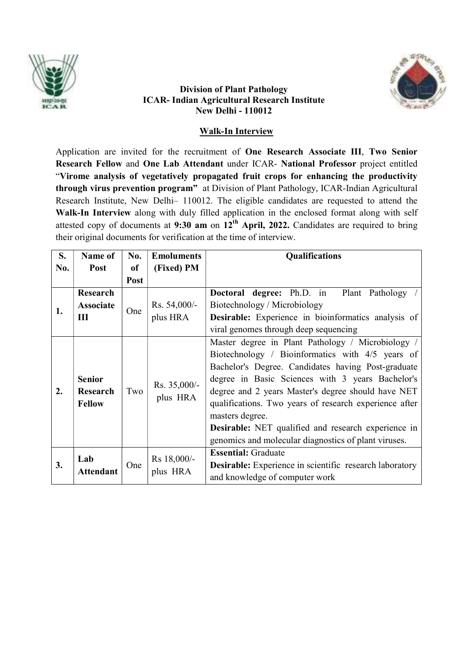

## Division of Plant Pathology ICAR- Indian Agricultural Research Institute New Delhi - 110012

# Walk-In Interview

Application are invited for the recruitment of One Research Associate III, Two Senior Research Fellow and One Lab Attendant under ICAR- National Professor project entitled "Virome analysis of vegetatively propagated fruit crops for enhancing the productivity through virus prevention program" at Division of Plant Pathology, ICAR-Indian Agricultural Research Institute, New Delhi– 110012. The eligible candidates are requested to attend the Walk-In Interview along with duly filled application in the enclosed format along with self attested copy of documents at 9:30 am on 12<sup>th</sup> April, 2022. Candidates are required to bring their original documents for verification at the time of interview.

| S.  | Name of                                           | No.                                                | <b>Emoluments</b>       | Qualifications                                                                                                                                                                                                                                                                                                                                                                                                                                        |  |
|-----|---------------------------------------------------|----------------------------------------------------|-------------------------|-------------------------------------------------------------------------------------------------------------------------------------------------------------------------------------------------------------------------------------------------------------------------------------------------------------------------------------------------------------------------------------------------------------------------------------------------------|--|
| No. | Post                                              | of                                                 | (Fixed) PM              |                                                                                                                                                                                                                                                                                                                                                                                                                                                       |  |
|     |                                                   | Post                                               |                         |                                                                                                                                                                                                                                                                                                                                                                                                                                                       |  |
|     | <b>Research</b>                                   |                                                    | Rs. 54,000/-            | <b>Doctoral degree:</b> Ph.D. in<br>Plant Pathology                                                                                                                                                                                                                                                                                                                                                                                                   |  |
| 1.  | <b>Associate</b>                                  | One                                                |                         | Biotechnology / Microbiology                                                                                                                                                                                                                                                                                                                                                                                                                          |  |
|     | Ш                                                 |                                                    | plus HRA                | <b>Desirable:</b> Experience in bioinformatics analysis of                                                                                                                                                                                                                                                                                                                                                                                            |  |
|     |                                                   |                                                    |                         | viral genomes through deep sequencing                                                                                                                                                                                                                                                                                                                                                                                                                 |  |
| 2.  | <b>Senior</b><br><b>Research</b><br><b>Fellow</b> | Rs. 35,000/-<br>Two<br>plus HRA<br>masters degree. |                         | Master degree in Plant Pathology / Microbiology /<br>Biotechnology / Bioinformatics with 4/5 years of<br>Bachelor's Degree. Candidates having Post-graduate<br>degree in Basic Sciences with 3 years Bachelor's<br>degree and 2 years Master's degree should have NET<br>qualifications. Two years of research experience after<br><b>Desirable:</b> NET qualified and research experience in<br>genomics and molecular diagnostics of plant viruses. |  |
| 3.  | Lab<br><b>Attendant</b>                           | One                                                | Rs 18,000/-<br>plus HRA | <b>Essential:</b> Graduate<br><b>Desirable:</b> Experience in scientific research laboratory<br>and knowledge of computer work                                                                                                                                                                                                                                                                                                                        |  |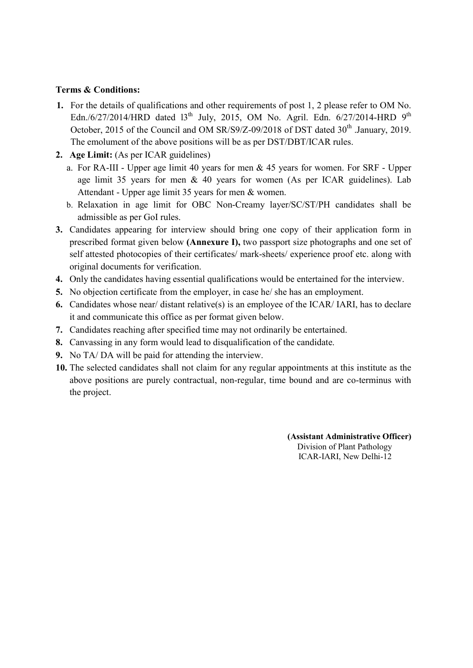## Terms & Conditions:

- 1. For the details of qualifications and other requirements of post 1, 2 please refer to OM No. Edn./6/27/2014/HRD dated  $13^{th}$  July, 2015, OM No. Agril. Edn. 6/27/2014-HRD  $9^{th}$ October, 2015 of the Council and OM  $SR/S9/Z-09/2018$  of DST dated  $30<sup>th</sup>$  January, 2019. The emolument of the above positions will be as per DST/DBT/ICAR rules.
- 2. Age Limit: (As per ICAR guidelines)
	- a. For RA-III Upper age limit 40 years for men & 45 years for women. For SRF Upper age limit 35 years for men & 40 years for women (As per ICAR guidelines). Lab Attendant - Upper age limit 35 years for men & women.
	- b. Relaxation in age limit for OBC Non-Creamy layer/SC/ST/PH candidates shall be admissible as per GoI rules.
- 3. Candidates appearing for interview should bring one copy of their application form in prescribed format given below (Annexure I), two passport size photographs and one set of self attested photocopies of their certificates/ mark-sheets/ experience proof etc. along with original documents for verification.
- 4. Only the candidates having essential qualifications would be entertained for the interview.
- 5. No objection certificate from the employer, in case he/ she has an employment.
- 6. Candidates whose near/ distant relative(s) is an employee of the ICAR/ IARI, has to declare it and communicate this office as per format given below.
- 7. Candidates reaching after specified time may not ordinarily be entertained.
- 8. Canvassing in any form would lead to disqualification of the candidate.
- 9. No TA/ DA will be paid for attending the interview.
- 10. The selected candidates shall not claim for any regular appointments at this institute as the above positions are purely contractual, non-regular, time bound and are co-terminus with the project.

(Assistant Administrative Officer) Division of Plant Pathology ICAR-IARI, New Delhi-12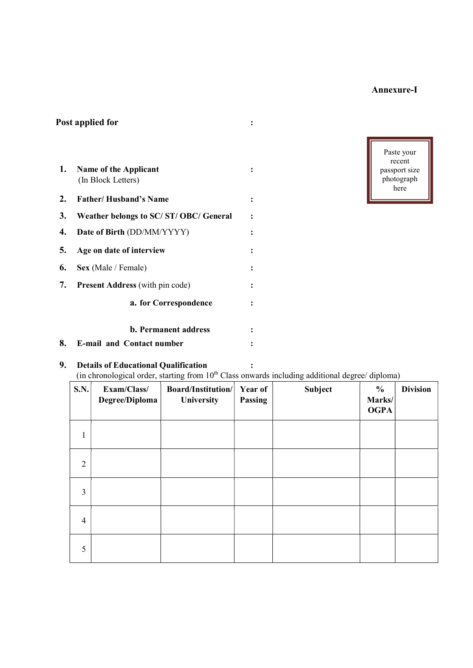# Annexure-I

| 1. | Name of the Applicant<br>(In Block Letters) |                |
|----|---------------------------------------------|----------------|
| 2. | <b>Father/Husband's Name</b>                | ፡              |
| 3. | Weather belongs to SC/ST/OBC/General        | $\ddot{\cdot}$ |
| 4. | Date of Birth (DD/MM/YYYY)                  |                |
| 5. | Age on date of interview                    |                |
| 6. | Sex (Male / Female)                         |                |
| 7. | <b>Present Address</b> (with pin code)      |                |
|    | a. for Correspondence                       |                |
|    | <b>b.</b> Permanent address                 |                |
| 8. | <b>E-mail and Contact number</b>            |                |

Post applied for the set of  $\mathbf{r}$  is the set of  $\mathbf{r}$  is the set of  $\mathbf{r}$  is the set of  $\mathbf{r}$ 



# 9. Details of Educational Qualification :

# (in chronological order, starting from  $10^{th}$  Class onwards including additional degree/ diploma)

| <b>S.N.</b>    | Exam/Class/<br>Degree/Diploma | Board/Institution/<br>University | Year of<br>Passing | Subject | $\frac{6}{9}$<br>Marks/<br><b>OGPA</b> | <b>Division</b> |
|----------------|-------------------------------|----------------------------------|--------------------|---------|----------------------------------------|-----------------|
| 1              |                               |                                  |                    |         |                                        |                 |
| $\overline{2}$ |                               |                                  |                    |         |                                        |                 |
| 3              |                               |                                  |                    |         |                                        |                 |
| $\overline{4}$ |                               |                                  |                    |         |                                        |                 |
| 5              |                               |                                  |                    |         |                                        |                 |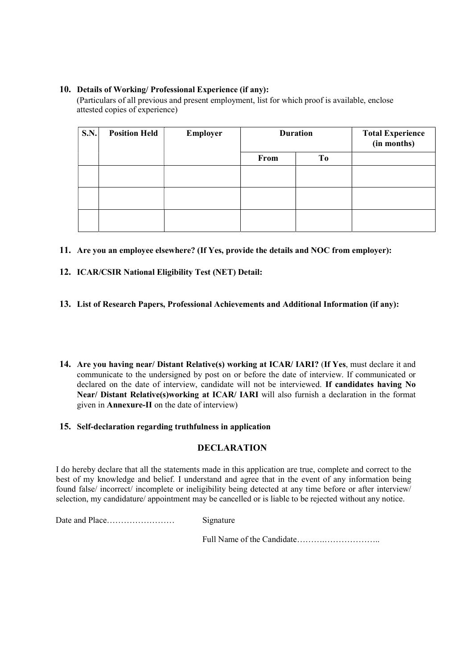## 10. Details of Working/ Professional Experience (if any):

(Particulars of all previous and present employment, list for which proof is available, enclose attested copies of experience)

| <b>S.N.</b> | <b>Position Held</b> | Employer | <b>Duration</b> |           | <b>Total Experience</b><br>(in months) |
|-------------|----------------------|----------|-----------------|-----------|----------------------------------------|
|             |                      |          | From            | <b>To</b> |                                        |
|             |                      |          |                 |           |                                        |
|             |                      |          |                 |           |                                        |
|             |                      |          |                 |           |                                        |

- 11. Are you an employee elsewhere? (If Yes, provide the details and NOC from employer):
- 12. ICAR/CSIR National Eligibility Test (NET) Detail:
- 13. List of Research Papers, Professional Achievements and Additional Information (if any):
- 14. Are you having near/ Distant Relative(s) working at ICAR/ IARI? (If Yes, must declare it and communicate to the undersigned by post on or before the date of interview. If communicated or declared on the date of interview, candidate will not be interviewed. If candidates having No Near/ Distant Relative(s)working at ICAR/ IARI will also furnish a declaration in the format given in Annexure-II on the date of interview)

#### 15. Self-declaration regarding truthfulness in application

## **DECLARATION**

I do hereby declare that all the statements made in this application are true, complete and correct to the best of my knowledge and belief. I understand and agree that in the event of any information being found false/ incorrect/ incomplete or ineligibility being detected at any time before or after interview/ selection, my candidature/ appointment may be cancelled or is liable to be rejected without any notice.

Date and Place…………………… Signature

Full Name of the Candidate……….………………..